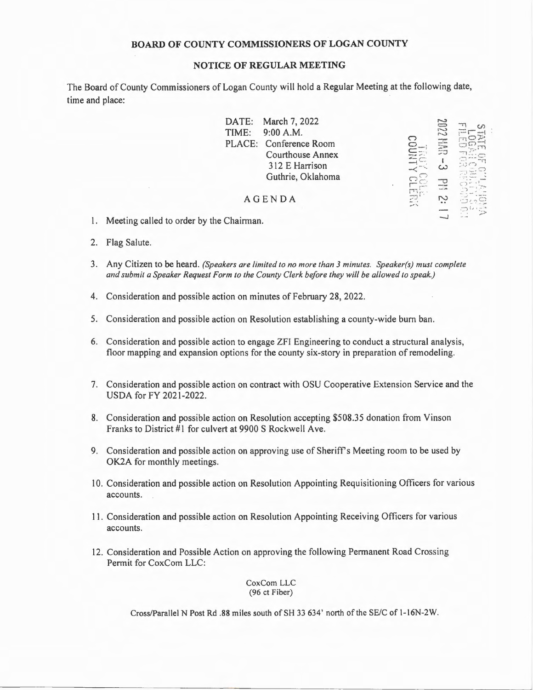## **BOARD OF COUNTY COMMISSIONERS OF LOGAN COUNTY**

## **NOTICE OF REGULAR MEETING**

The Board of County Commissioners of Logan County will hold a Regular Meeting at the following date, time and place:

|               | DATE: March 7, 2022     |      |  |
|---------------|-------------------------|------|--|
| TIME:         | 9:00 A.M.               | 2002 |  |
|               | PLACE: Conference Room  |      |  |
|               | <b>Courthouse Annex</b> |      |  |
|               | 312 E Harrison          | r ., |  |
|               | Guthrie, Oklahoma       |      |  |
|               |                         |      |  |
| <b>AGENDA</b> |                         |      |  |
|               |                         |      |  |
|               |                         |      |  |

- 1. Meeting called to order by the Chairman.
- 2. Flag Salute.
- 3. Any Citizen to be heard. *(Speakers are limited to no more than 3 minutes. Speaker(s) must complete and submit a Speaker Request Form to the County Clerk before they will be allowed to speak.)*
- 4. Consideration and possible action on minutes of February 28, 2022.
- 5. Consideration and possible action on Resolution establishing a county-wide burn ban.
- 6. Consideration and possible action to engage ZFI Engineering to conduct a structural analysis, floor mapping and expansion options for the county six-story in preparation of remodeling.
- 7. Consideration and possible action on contract with OSU Cooperative Extension Service and the USDA for FY 2021-2022.
- 8. Consideration and possible action on Resolution accepting \$508.35 donation from Vinson Franks to District #1 for culvert at 9900 S Rockwell Ave.
- 9. Consideration and possible action on approving use of Sheriff's Meeting room to be used by OK2A for monthly meetings.
- I 0. Consideration and possible action on Resolution Appointing Requisitioning Officers for various accounts.
- 11 . Consideration and possible action on Resolution Appointing Receiving Officers for various accounts.
- 12. Consideration and Possible Action on approving the following Permanent Road Crossing Permit for CoxCom LLC:

CoxCom LLC (96 ct Fiber)

Cross/Parallel N Post Rd .88 miles south of SH 33 634' north of the SE/C of 1-16N-2W.